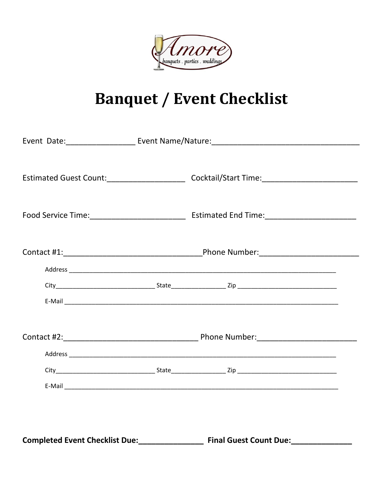

## **Banquet / Event Checklist**

|                                       |  | Estimated Guest Count:____________________________Cocktail/Start Time:_____________________________ |  |  |  |  |
|---------------------------------------|--|-----------------------------------------------------------------------------------------------------|--|--|--|--|
|                                       |  |                                                                                                     |  |  |  |  |
|                                       |  |                                                                                                     |  |  |  |  |
|                                       |  |                                                                                                     |  |  |  |  |
|                                       |  |                                                                                                     |  |  |  |  |
|                                       |  |                                                                                                     |  |  |  |  |
|                                       |  |                                                                                                     |  |  |  |  |
|                                       |  |                                                                                                     |  |  |  |  |
|                                       |  |                                                                                                     |  |  |  |  |
|                                       |  |                                                                                                     |  |  |  |  |
|                                       |  |                                                                                                     |  |  |  |  |
|                                       |  |                                                                                                     |  |  |  |  |
| <b>Completed Event Checklist Due:</b> |  | <b>Final Guest Count Due:</b>                                                                       |  |  |  |  |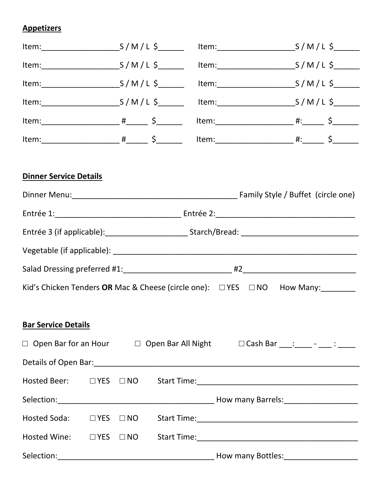## **Appetizers**

| <b>Dinner Service Details</b> |  |                                                                                  |  |
|-------------------------------|--|----------------------------------------------------------------------------------|--|
|                               |  |                                                                                  |  |
|                               |  |                                                                                  |  |
|                               |  |                                                                                  |  |
|                               |  |                                                                                  |  |
|                               |  |                                                                                  |  |
|                               |  | Kid's Chicken Tenders OR Mac & Cheese (circle one): □ YES □ NO How Many: _______ |  |
| <b>Bar Service Details</b>    |  |                                                                                  |  |
|                               |  | □ Open Bar for an Hour □ Open Bar All Night □ Cash Bar ___: ____- - ____ : _____ |  |
|                               |  |                                                                                  |  |
|                               |  |                                                                                  |  |
|                               |  |                                                                                  |  |
| Hosted Soda: DYES DNO         |  |                                                                                  |  |
| Hosted Wine: □ YES □ NO       |  |                                                                                  |  |
|                               |  | How many Bottles: _____________________                                          |  |